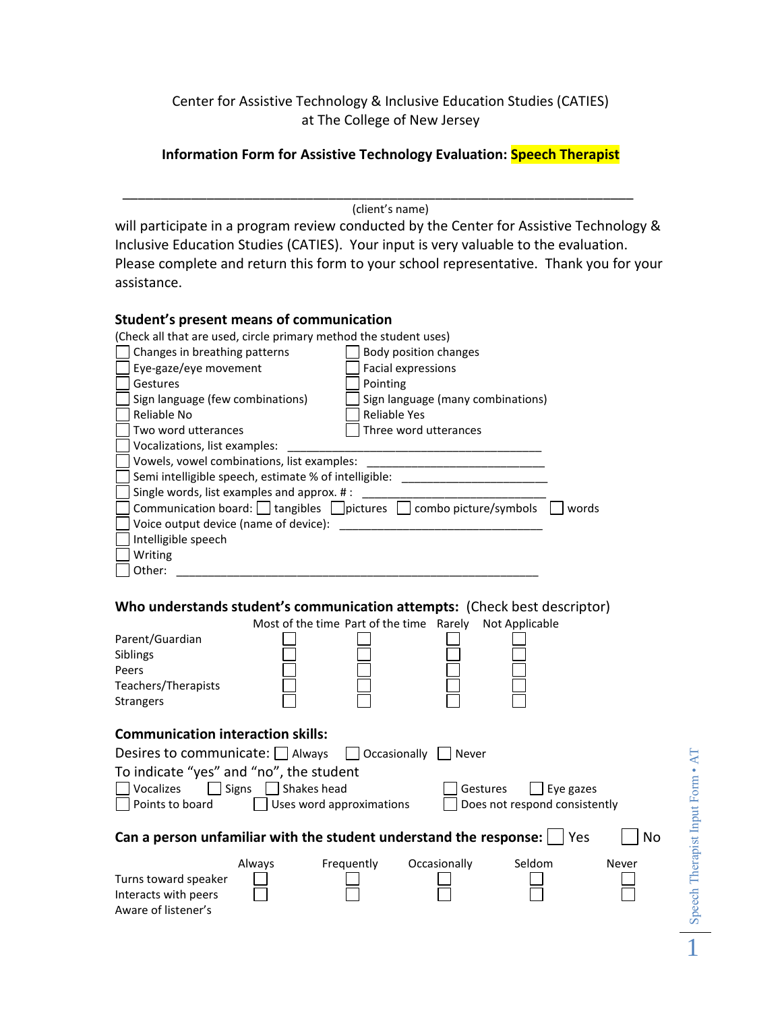Center for Assistive Technology & Inclusive Education Studies (CATIES) at The College of New Jersey

# **Information Form for Assistive Technology Evaluation: Speech Therapist**

(client's name)

\_\_\_\_\_\_\_\_\_\_\_\_\_\_\_\_\_\_\_\_\_\_\_\_\_\_\_\_\_\_\_\_\_\_\_\_\_\_\_\_\_\_\_\_\_\_\_\_\_\_\_\_\_\_\_\_\_\_\_\_\_\_\_\_\_\_\_

will participate in a program review conducted by the Center for Assistive Technology & Inclusive Education Studies (CATIES). Your input is very valuable to the evaluation. Please complete and return this form to your school representative. Thank you for your assistance.

## **Student's present means of communication**

(Check all that are used, circle primary method the student uses)  $\Box$  Changes in breathing patterns  $\Box$  Body position changes Eye-gaze/eye movement Facial expressions

| Gestures                                                                                |  | Pointing                          |  |  |
|-----------------------------------------------------------------------------------------|--|-----------------------------------|--|--|
| Sign language (few combinations)                                                        |  | Sign language (many combinations) |  |  |
| Reliable No                                                                             |  | <b>Reliable Yes</b>               |  |  |
| Two word utterances                                                                     |  | Three word utterances             |  |  |
| Vocalizations, list examples:                                                           |  |                                   |  |  |
| Vowels, vowel combinations, list examples:                                              |  |                                   |  |  |
| Semi intelligible speech, estimate % of intelligible:                                   |  |                                   |  |  |
| Single words, list examples and approx. #:                                              |  |                                   |  |  |
| Communication board: $\Box$ tangibles $\Box$ pictures<br>combo picture/symbols<br>words |  |                                   |  |  |
| Voice output device (name of device):                                                   |  |                                   |  |  |
| Intelligible speech                                                                     |  |                                   |  |  |
| Writing                                                                                 |  |                                   |  |  |
| Other:                                                                                  |  |                                   |  |  |

## **Who understands student's communication attempts:** (Check best descriptor)

|                                                                                                                                                               |        | Most of the time Part of the time Rarely |              | Not Applicable |       |  |  |
|---------------------------------------------------------------------------------------------------------------------------------------------------------------|--------|------------------------------------------|--------------|----------------|-------|--|--|
| Parent/Guardian<br>Siblings                                                                                                                                   |        |                                          |              |                |       |  |  |
| Peers                                                                                                                                                         |        |                                          |              |                |       |  |  |
| Teachers/Therapists                                                                                                                                           |        |                                          |              |                |       |  |  |
| <b>Strangers</b>                                                                                                                                              |        |                                          |              |                |       |  |  |
| <b>Communication interaction skills:</b><br>Desires to communicate: $\Box$ Always<br>    Occasionally    <br>Never<br>To indicate "yes" and "no", the student |        |                                          |              |                |       |  |  |
| Signs Shakes head<br>Vocalizes<br>Gestures<br>$\perp$                                                                                                         |        |                                          |              |                |       |  |  |
| Eye gazes<br>Points to board<br>Uses word approximations<br>Does not respond consistently                                                                     |        |                                          |              |                |       |  |  |
|                                                                                                                                                               |        |                                          |              |                |       |  |  |
| Can a person unfamiliar with the student understand the response:  <br>No<br>Yes                                                                              |        |                                          |              |                |       |  |  |
|                                                                                                                                                               | Always | Frequently                               | Occasionally | Seldom         | Never |  |  |
| Turns toward speaker<br>Interacts with peers<br>Aware of listener's                                                                                           |        |                                          |              |                |       |  |  |

Speech Therapist Input Form • AT Speech Therapist Input Form • AT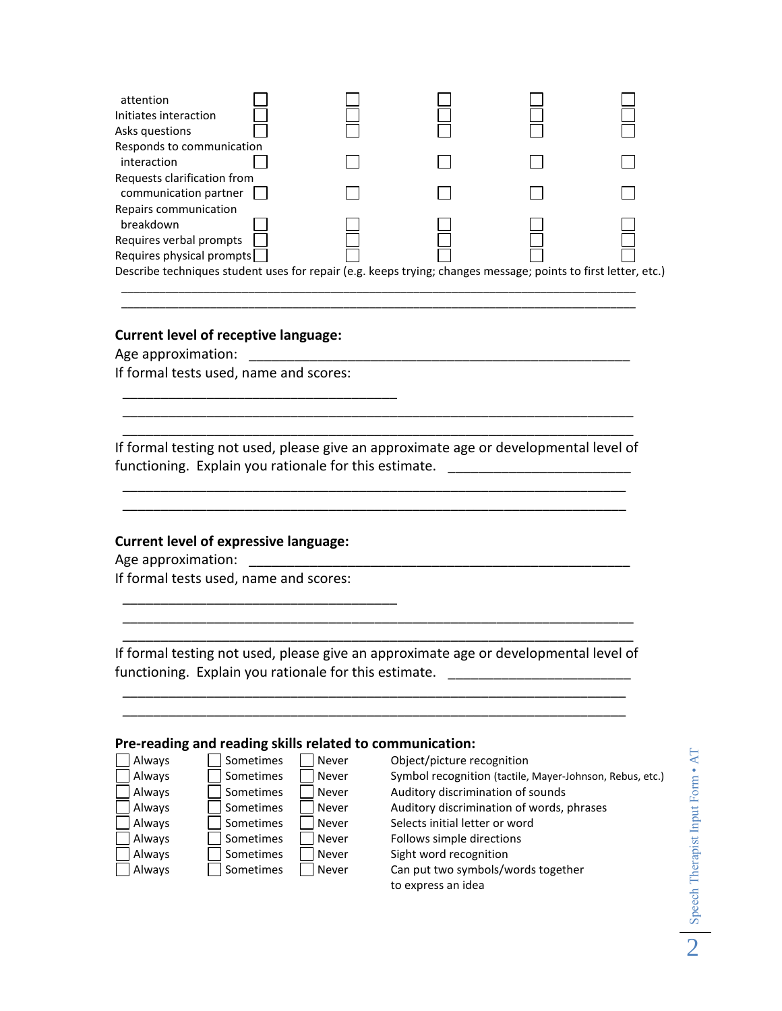| attention<br>Initiates interaction<br>Asks questions                                                           |  |  |  |
|----------------------------------------------------------------------------------------------------------------|--|--|--|
| Responds to communication<br>interaction                                                                       |  |  |  |
| Requests clarification from<br>communication partner                                                           |  |  |  |
| Repairs communication<br>breakdown                                                                             |  |  |  |
| Requires verbal prompts<br>Requires physical prompts                                                           |  |  |  |
| Describe techniques student uses for repair (e.g. keeps trying; changes message; points to first letter, etc.) |  |  |  |

\_\_\_\_\_\_\_\_\_\_\_\_\_\_\_\_\_\_\_\_\_\_\_\_\_\_\_\_\_\_\_\_\_\_\_\_\_\_\_\_\_\_\_\_\_\_\_\_\_\_\_\_\_\_\_\_\_\_\_\_\_\_\_\_\_\_\_\_\_\_\_\_\_\_\_\_\_\_\_\_\_ \_\_\_\_\_\_\_\_\_\_\_\_\_\_\_\_\_\_\_\_\_\_\_\_\_\_\_\_\_\_\_\_\_\_\_\_\_\_\_\_\_\_\_\_\_\_\_\_\_\_\_\_\_\_\_\_\_\_\_\_\_\_\_\_\_\_\_\_\_\_\_\_\_\_\_\_\_\_\_\_\_

### **Current level of receptive language:**

Age approximation: \_\_\_\_\_\_\_\_\_\_\_\_\_\_\_\_\_\_\_\_\_\_\_\_\_\_\_\_\_\_\_\_\_\_\_\_\_\_\_\_\_\_\_\_\_\_\_\_\_\_ If formal tests used, name and scores:

\_\_\_\_\_\_\_\_\_\_\_\_\_\_\_\_\_\_\_\_\_\_\_\_\_\_\_\_\_\_\_\_\_\_\_\_

If formal testing not used, please give an approximate age or developmental level of functioning. Explain you rationale for this estimate. \_\_\_\_\_\_\_\_\_\_\_\_\_\_\_\_\_\_\_\_\_\_\_\_\_\_

\_\_\_\_\_\_\_\_\_\_\_\_\_\_\_\_\_\_\_\_\_\_\_\_\_\_\_\_\_\_\_\_\_\_\_\_\_\_\_\_\_\_\_\_\_\_\_\_\_\_\_\_\_\_\_\_\_\_\_\_\_\_\_\_\_\_ \_\_\_\_\_\_\_\_\_\_\_\_\_\_\_\_\_\_\_\_\_\_\_\_\_\_\_\_\_\_\_\_\_\_\_\_\_\_\_\_\_\_\_\_\_\_\_\_\_\_\_\_\_\_\_\_\_\_\_\_\_\_\_\_\_\_

\_\_\_\_\_\_\_\_\_\_\_\_\_\_\_\_\_\_\_\_\_\_\_\_\_\_\_\_\_\_\_\_\_\_\_\_\_\_\_\_\_\_\_\_\_\_\_\_\_\_\_\_\_\_\_\_\_\_\_\_\_\_\_\_\_\_\_ \_\_\_\_\_\_\_\_\_\_\_\_\_\_\_\_\_\_\_\_\_\_\_\_\_\_\_\_\_\_\_\_\_\_\_\_\_\_\_\_\_\_\_\_\_\_\_\_\_\_\_\_\_\_\_\_\_\_\_\_\_\_\_\_\_\_\_

# **Current level of expressive language:**

Age approximation:

If formal tests used, name and scores:

\_\_\_\_\_\_\_\_\_\_\_\_\_\_\_\_\_\_\_\_\_\_\_\_\_\_\_\_\_\_\_\_\_\_\_\_

If formal testing not used, please give an approximate age or developmental level of functioning. Explain you rationale for this estimate. \_\_\_\_\_\_\_\_\_\_\_\_\_\_\_\_\_\_\_\_\_\_\_\_\_\_

\_\_\_\_\_\_\_\_\_\_\_\_\_\_\_\_\_\_\_\_\_\_\_\_\_\_\_\_\_\_\_\_\_\_\_\_\_\_\_\_\_\_\_\_\_\_\_\_\_\_\_\_\_\_\_\_\_\_\_\_\_\_\_\_\_\_

\_\_\_\_\_\_\_\_\_\_\_\_\_\_\_\_\_\_\_\_\_\_\_\_\_\_\_\_\_\_\_\_\_\_\_\_\_\_\_\_\_\_\_\_\_\_\_\_\_\_\_\_\_\_\_\_\_\_\_\_\_\_\_\_\_\_\_ \_\_\_\_\_\_\_\_\_\_\_\_\_\_\_\_\_\_\_\_\_\_\_\_\_\_\_\_\_\_\_\_\_\_\_\_\_\_\_\_\_\_\_\_\_\_\_\_\_\_\_\_\_\_\_\_\_\_\_\_\_\_\_\_\_\_\_

#### **Pre-reading and reading skills related to communication:**

| Always | Sometimes | Never        | Object/picture recognition                               |
|--------|-----------|--------------|----------------------------------------------------------|
| Always | Sometimes | Never        | Symbol recognition (tactile, Mayer-Johnson, Rebus, etc.) |
| Always | Sometimes | Never        | Auditory discrimination of sounds                        |
| Always | Sometimes | Never        | Auditory discrimination of words, phrases                |
| Always | Sometimes | Never        | Selects initial letter or word                           |
| Always | Sometimes | Never        | Follows simple directions                                |
| Always | Sometimes | Never        | Sight word recognition                                   |
| Always | Sometimes | <b>Never</b> | Can put two symbols/words together                       |
|        |           |              | to express an idea                                       |